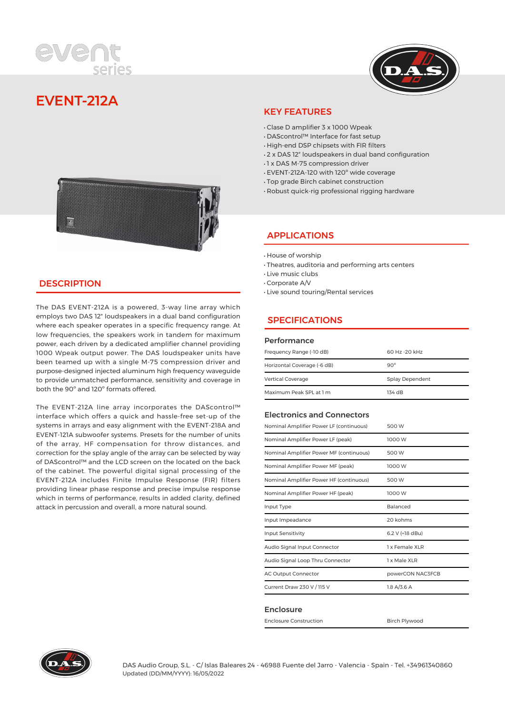



# **EVENT-212A**



## **DESCRIPTION**

The DAS EVENT-212A is a powered, 3-way line array which employs two DAS 12″ loudspeakers in a dual band configuration where each speaker operates in a specific frequency range. At low frequencies, the speakers work in tandem for maximum power, each driven by a dedicated amplifier channel providing 1000 Wpeak output power. The DAS loudspeaker units have been teamed up with a single M-75 compression driver and purpose-designed injected aluminum high frequency waveguide to provide unmatched performance, sensitivity and coverage in both the 90º and 120º formats offered.

The EVENT-212A line array incorporates the DAScontrol™ interface which offers a quick and hassle-free set-up of the systems in arrays and easy alignment with the EVENT-218A and EVENT-121A subwoofer systems. Presets for the number of units of the array, HF compensation for throw distances, and correction for the splay angle of the array can be selected by way of DAScontrol™ and the LCD screen on the located on the back of the cabinet. The powerful digital signal processing of the EVENT-212A includes Finite Impulse Response (FIR) filters providing linear phase response and precise impulse response which in terms of performance, results in added clarity, defined attack in percussion and overall, a more natural sound.

#### KEY FEATURES

- · Clase D amplifier 3 x 1000 Wpeak
- · DAScontrol™ Interface for fast setup
- · High-end DSP chipsets with FIR filters
- · 2 x DAS 12″ loudspeakers in dual band configuration
- · 1 x DAS M-75 compression driver
- · EVENT-212A-120 with 120º wide coverage
- · Top grade Birch cabinet construction
- · Robust quick-rig professional rigging hardware

### APPLICATIONS

- · House of worship
- · Theatres, auditoria and performing arts centers
- · Live music clubs
- · Corporate A/V
- · Live sound touring/Rental services

# **SPECIFICATIONS**

#### Performance

| Frequency Range (-10 dB)    | 60 Hz - 20 kHz  |  |
|-----------------------------|-----------------|--|
| Horizontal Coverage (-6 dB) | $90^\circ$      |  |
| <b>Vertical Coverage</b>    | Splay Dependent |  |
| Maximum Peak SPL at 1 m     | 134 dB          |  |

#### Electronics and Connectors

| Nominal Amplifier Power LF (continuous) | 500 W            |  |
|-----------------------------------------|------------------|--|
| Nominal Amplifier Power LF (peak)       | 1000 W           |  |
| Nominal Amplifier Power MF (continuous) | 500 W            |  |
| Nominal Amplifier Power MF (peak)       | 1000 W           |  |
| Nominal Amplifier Power HF (continuous) | 500 W            |  |
| Nominal Amplifier Power HF (peak)       | 1000 W           |  |
| Input Type                              | Balanced         |  |
| Input Impeadance                        | 20 kohms         |  |
| <b>Input Sensitivity</b>                | 6.2 V (+18 dBu)  |  |
| Audio Signal Input Connector            | 1 x Female XLR   |  |
| Audio Signal Loop Thru Connector        | 1 x Male XLR     |  |
| <b>AC Output Connector</b>              | powerCON NAC3FCB |  |
| Current Draw 230 V / 115 V              | $1.8$ A/3.6 A    |  |
|                                         |                  |  |

#### Enclosure

Enclosure Construction and Birch Plywood